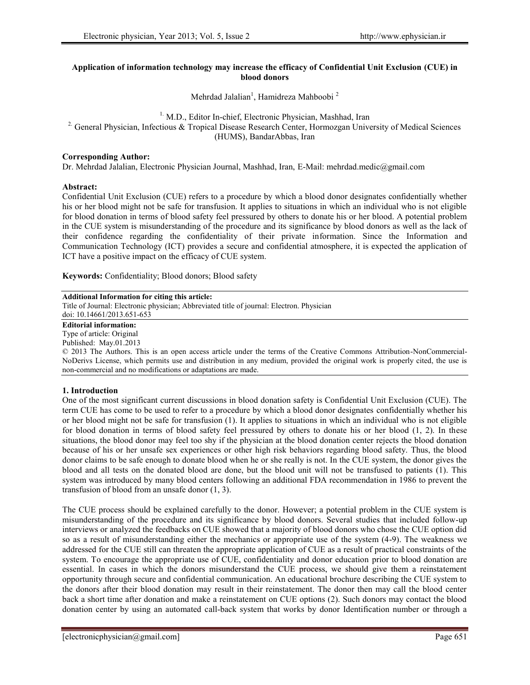### **Application of information technology may increase the efficacy of Confidential Unit Exclusion (CUE) in blood donors**

Mehrdad Jalalian<sup>1</sup>, Hamidreza Mahboobi<sup>2</sup>

### <sup>1.</sup> M.D., Editor In-chief, Electronic Physician, Mashhad, Iran <sup>2.</sup> General Physician, Infectious & Tropical Disease Research Center, Hormozgan University of Medical Sciences (HUMS), BandarAbbas, Iran

### **Corresponding Author:**

Dr. Mehrdad Jalalian, Electronic Physician Journal, Mashhad, Iran, E-Mail: mehrdad.medic@gmail.com

## **Abstract:**

Confidential Unit Exclusion (CUE) refers to a procedure by which a blood donor designates confidentially whether his or her blood might not be safe for transfusion. It applies to situations in which an individual who is not eligible for blood donation in terms of blood safety feel pressured by others to donate his or her blood. A potential problem in the CUE system is misunderstanding of the procedure and its significance by blood donors as well as the lack of their confidence regarding the confidentiality of their private information. Since the Information and Communication Technology (ICT) provides a secure and confidential atmosphere, it is expected the application of ICT have a positive impact on the efficacy of CUE system.

**Keywords:** Confidentiality; Blood donors; Blood safety

### **Additional Information for citing this article:**

Title of Journal: Electronic physician; Abbreviated title of journal: Electron. Physician doi: 10.14661/2013.651-653

# **Editorial information:**

Type of article: Original

Published: May.01.2013

© 2013 The Authors. This is an open access article under the terms of the Creative Commons Attribution-NonCommercial- NoDerivs License, which permits use and distribution in any medium, provided the original work is properly cited, the use is non-commercial and no modifications or adaptations are made.

# **1. Introduction**

One of the most significant current discussions in blood donation safety is Confidential Unit Exclusion (CUE). The term CUE has come to be used to refer to a procedure by which a blood donor designates confidentially whether his or her blood might not be safe for transfusion (1). It applies to situations in which an individual who is not eligible for blood donation in terms of blood safety feel pressured by others to donate his or her blood (1, 2). In these situations, the blood donor may feel too shy if the physician at the blood donation center rejects the blood donation because of his or her unsafe sex experiences or other high risk behaviors regarding blood safety. Thus, the blood donor claims to be safe enough to donate blood when he or she really is not. In the CUE system, the donor gives the blood and all tests on the donated blood are done, but the blood unit will not be transfused to patients (1). This system was introduced by many blood centers following an additional FDA recommendation in 1986 to prevent the transfusion of blood from an unsafe donor (1, 3).

The CUE process should be explained carefully to the donor. However; a potential problem in the CUE system is misunderstanding of the procedure and its significance by blood donors. Several studies that included follow-up interviews or analyzed the feedbacks on CUE showed that a majority of blood donors who chose the CUE option did so as a result of misunderstanding either the mechanics or appropriate use of the system (4-9). The weakness we addressed for the CUE still can threaten the appropriate application of CUE as a result of practical constraints of the system. To encourage the appropriate use of CUE, confidentiality and donor education prior to blood donation are essential. In cases in which the donors misunderstand the CUE process, we should give them a reinstatement opportunity through secure and confidential communication. An educational brochure describing the CUE system to the donors after their blood donation may result in their reinstatement. The donor then may call the blood center back a short time after donation and make a reinstatement on CUE options (2). Such donors may contact the blood donation center by using an automated call-back system that works by donor Identification number or through a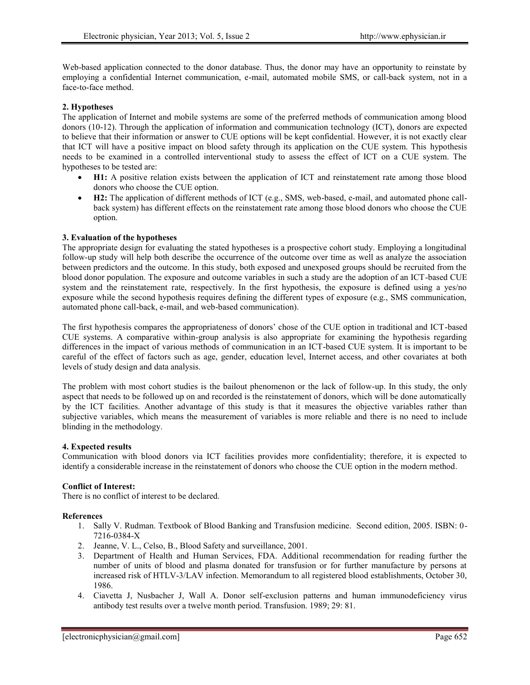Web-based application connected to the donor database. Thus, the donor may have an opportunity to reinstate by employing a confidential Internet communication, e-mail, automated mobile SMS, or call-back system, not in a face-to-face method.

### **2. Hypotheses**

The application of Internet and mobile systems are some of the preferred methods of communication among blood donors (10-12). Through the application of information and communication technology (ICT), donors are expected to believe that their information or answer to CUE options will be kept confidential. However, it is not exactly clear that ICT will have a positive impact on blood safety through its application on the CUE system. This hypothesis needs to be examined in a controlled interventional study to assess the effect of ICT on a CUE system. The hypotheses to be tested are:

- **H1:** A positive relation exists between the application of ICT and reinstatement rate among those blood donors who choose the CUE option.
- **H2:** The application of different methods of ICT (e.g., SMS, web-based, e-mail, and automated phone call back system) has different effects on the reinstatement rate among those blood donors who choose the CUE option.

### **3. Evaluation of the hypotheses**

The appropriate design for evaluating the stated hypotheses is a prospective cohort study. Employing a longitudinal follow-up study will help both describe the occurrence of the outcome over time as well as analyze the association between predictors and the outcome. In this study, both exposed and unexposed groups should be recruited from the blood donor population. The exposure and outcome variables in such a study are the adoption of an ICT-based CUE system and the reinstatement rate, respectively. In the first hypothesis, the exposure is defined using a yes/no exposure while the second hypothesis requires defining the different types of exposure (e.g., SMS communication, automated phone call-back, e-mail, and web-based communication).

The first hypothesis compares the appropriateness of donors' chose of the CUE option in traditional and ICT-based CUE systems. A comparative within-group analysis is also appropriate for examining the hypothesis regarding differences in the impact of various methods of communication in an ICT-based CUE system. It is important to be careful of the effect of factors such as age, gender, education level, Internet access, and other covariates at both levels of study design and data analysis.

The problem with most cohort studies is the bailout phenomenon or the lack of follow-up. In this study, the only aspect that needs to be followed up on and recorded is the reinstatement of donors, which will be done automatically by the ICT facilities. Another advantage of this study is that it measures the objective variables rather than subjective variables, which means the measurement of variables is more reliable and there is no need to include blinding in the methodology.

### **4. Expected results**

Communication with blood donors via ICT facilities provides more confidentiality; therefore, it is expected to identify a considerable increase in the reinstatement of donors who choose the CUE option in the modern method.

### **Conflict of Interest:**

There is no conflict of interest to be declared.

### **References**

- 1. Sally V. Rudman. Textbook of Blood Banking and Transfusion medicine. Second edition, 2005. ISBN: 0- 7216-0384-X
- 2. Jeanne, V. L., Celso, B., Blood Safety and surveillance, 2001.
- 3. Department of Health and Human Services, FDA. Additional recommendation for reading further the number of units of blood and plasma donated for transfusion or for further manufacture by persons at increased risk of HTLV-3/LAV infection. Memorandum to all registered blood establishments, October 30, 1986.
- 4. Ciavetta J, Nusbacher J, Wall A. Donor self-exclusion patterns and human immunodeficiency virus antibody test results over a twelve month period. Transfusion. 1989; 29: 81.